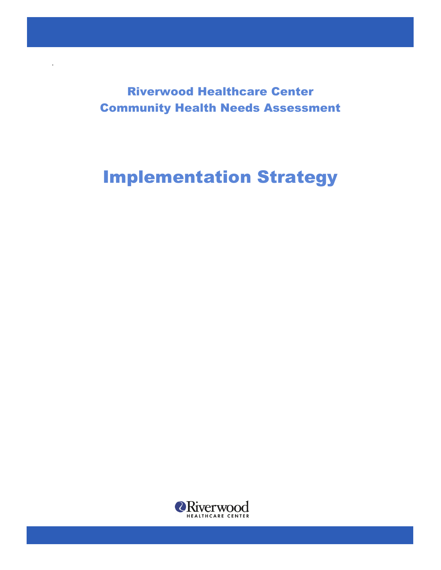Riverwood Healthcare Center Community Health Needs Assessment

.

# Implementation Strategy

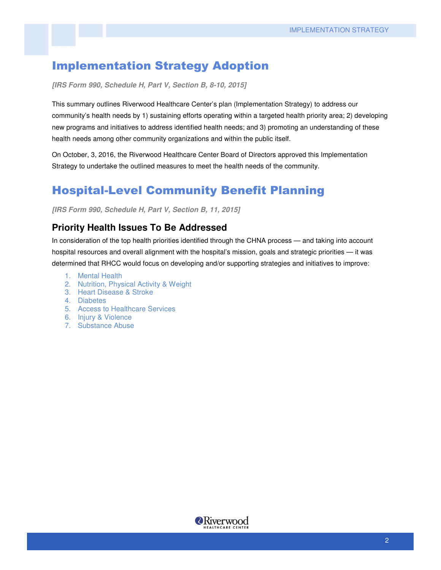## Implementation Strategy Adoption

**[IRS Form 990, Schedule H, Part V, Section B, 8-10, 2015]** 

This summary outlines Riverwood Healthcare Center's plan (Implementation Strategy) to address our community's health needs by 1) sustaining efforts operating within a targeted health priority area; 2) developing new programs and initiatives to address identified health needs; and 3) promoting an understanding of these health needs among other community organizations and within the public itself.

On October, 3, 2016, the Riverwood Healthcare Center Board of Directors approved this Implementation Strategy to undertake the outlined measures to meet the health needs of the community.

## Hospital-Level Community Benefit Planning

**[IRS Form 990, Schedule H, Part V, Section B, 11, 2015]** 

#### **Priority Health Issues To Be Addressed**

In consideration of the top health priorities identified through the CHNA process — and taking into account hospital resources and overall alignment with the hospital's mission, goals and strategic priorities — it was determined that RHCC would focus on developing and/or supporting strategies and initiatives to improve:

- 1. Mental Health
- 2. Nutrition, Physical Activity & Weight
- 3. Heart Disease & Stroke
- 4. Diabetes
- 5. Access to Healthcare Services
- 6. Injury & Violence
- 7. Substance Abuse

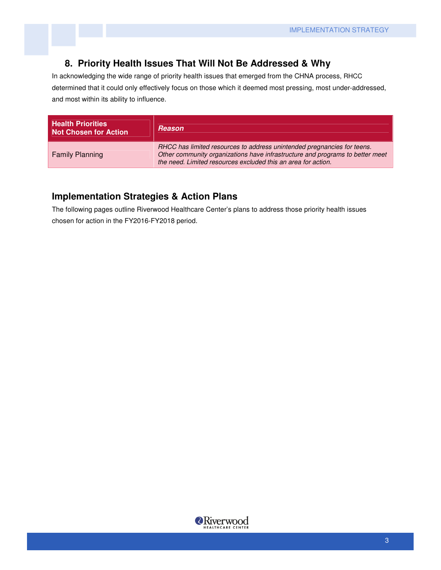#### **8. Priority Health Issues That Will Not Be Addressed & Why**

In acknowledging the wide range of priority health issues that emerged from the CHNA process, RHCC determined that it could only effectively focus on those which it deemed most pressing, most under-addressed, and most within its ability to influence.

| <b>Health Priorities</b><br><b>Not Chosen for Action</b> | <b>Reason</b>                                                                                                                                                                                                             |
|----------------------------------------------------------|---------------------------------------------------------------------------------------------------------------------------------------------------------------------------------------------------------------------------|
| <b>Family Planning</b>                                   | RHCC has limited resources to address unintended pregnancies for teens.<br>Other community organizations have infrastructure and programs to better meet<br>the need. Limited resources excluded this an area for action. |

#### **Implementation Strategies & Action Plans**

The following pages outline Riverwood Healthcare Center's plans to address those priority health issues chosen for action in the FY2016-FY2018 period.

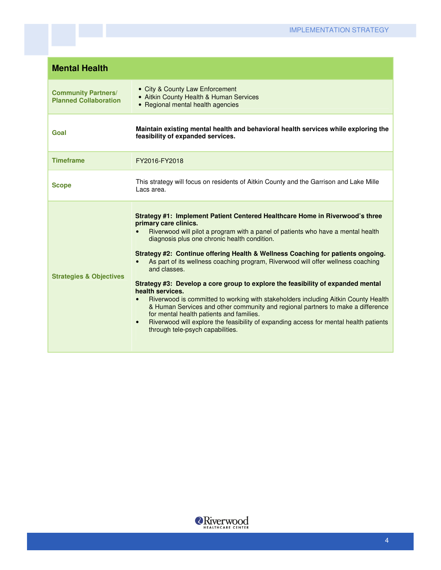| <b>Mental Health</b>                                       |                                                                                                                                                                                                                                                                                                                                                                                                                                                                                                                                                                                                                                                                                                                                                                                                                                                                                                                     |
|------------------------------------------------------------|---------------------------------------------------------------------------------------------------------------------------------------------------------------------------------------------------------------------------------------------------------------------------------------------------------------------------------------------------------------------------------------------------------------------------------------------------------------------------------------------------------------------------------------------------------------------------------------------------------------------------------------------------------------------------------------------------------------------------------------------------------------------------------------------------------------------------------------------------------------------------------------------------------------------|
| <b>Community Partners/</b><br><b>Planned Collaboration</b> | • City & County Law Enforcement<br>• Aitkin County Health & Human Services<br>• Regional mental health agencies                                                                                                                                                                                                                                                                                                                                                                                                                                                                                                                                                                                                                                                                                                                                                                                                     |
| Goal                                                       | Maintain existing mental health and behavioral health services while exploring the<br>feasibility of expanded services.                                                                                                                                                                                                                                                                                                                                                                                                                                                                                                                                                                                                                                                                                                                                                                                             |
| <b>Timeframe</b>                                           | FY2016-FY2018                                                                                                                                                                                                                                                                                                                                                                                                                                                                                                                                                                                                                                                                                                                                                                                                                                                                                                       |
| <b>Scope</b>                                               | This strategy will focus on residents of Aitkin County and the Garrison and Lake Mille<br>Lacs area.                                                                                                                                                                                                                                                                                                                                                                                                                                                                                                                                                                                                                                                                                                                                                                                                                |
| <b>Strategies &amp; Objectives</b>                         | Strategy #1: Implement Patient Centered Healthcare Home in Riverwood's three<br>primary care clinics.<br>Riverwood will pilot a program with a panel of patients who have a mental health<br>diagnosis plus one chronic health condition.<br>Strategy #2: Continue offering Health & Wellness Coaching for patients ongoing.<br>As part of its wellness coaching program, Riverwood will offer wellness coaching<br>and classes.<br>Strategy #3: Develop a core group to explore the feasibility of expanded mental<br>health services.<br>Riverwood is committed to working with stakeholders including Aitkin County Health<br>$\bullet$<br>& Human Services and other community and regional partners to make a difference<br>for mental health patients and families.<br>Riverwood will explore the feasibility of expanding access for mental health patients<br>$\bullet$<br>through tele-psych capabilities. |

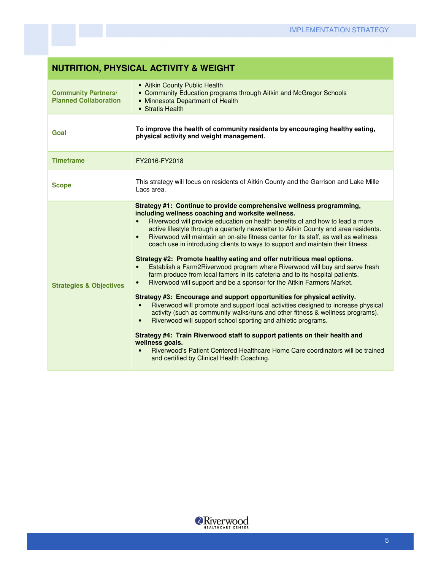## **NUTRITION, PHYSICAL ACTIVITY & WEIGHT**

| <b>Community Partners/</b><br><b>Planned Collaboration</b> | • Aitkin County Public Health<br>• Community Education programs through Aitkin and McGregor Schools<br>• Minnesota Department of Health<br>• Stratis Health                                                                                                                                                                                                                                                                                                                                                                                                                                                                                                                                                                                                                                                                                                                                                                                                                                                                                                                                                                                                                                                                                                                                                                                                                                                |
|------------------------------------------------------------|------------------------------------------------------------------------------------------------------------------------------------------------------------------------------------------------------------------------------------------------------------------------------------------------------------------------------------------------------------------------------------------------------------------------------------------------------------------------------------------------------------------------------------------------------------------------------------------------------------------------------------------------------------------------------------------------------------------------------------------------------------------------------------------------------------------------------------------------------------------------------------------------------------------------------------------------------------------------------------------------------------------------------------------------------------------------------------------------------------------------------------------------------------------------------------------------------------------------------------------------------------------------------------------------------------------------------------------------------------------------------------------------------------|
| Goal                                                       | To improve the health of community residents by encouraging healthy eating,<br>physical activity and weight management.                                                                                                                                                                                                                                                                                                                                                                                                                                                                                                                                                                                                                                                                                                                                                                                                                                                                                                                                                                                                                                                                                                                                                                                                                                                                                    |
| <b>Timeframe</b>                                           | FY2016-FY2018                                                                                                                                                                                                                                                                                                                                                                                                                                                                                                                                                                                                                                                                                                                                                                                                                                                                                                                                                                                                                                                                                                                                                                                                                                                                                                                                                                                              |
| <b>Scope</b>                                               | This strategy will focus on residents of Aitkin County and the Garrison and Lake Mille<br>Lacs area.                                                                                                                                                                                                                                                                                                                                                                                                                                                                                                                                                                                                                                                                                                                                                                                                                                                                                                                                                                                                                                                                                                                                                                                                                                                                                                       |
| <b>Strategies &amp; Objectives</b>                         | Strategy #1: Continue to provide comprehensive wellness programming,<br>including wellness coaching and worksite wellness.<br>Riverwood will provide education on health benefits of and how to lead a more<br>active lifestyle through a quarterly newsletter to Aitkin County and area residents.<br>Riverwood will maintain an on-site fitness center for its staff, as well as wellness<br>$\bullet$<br>coach use in introducing clients to ways to support and maintain their fitness.<br>Strategy #2: Promote healthy eating and offer nutritious meal options.<br>Establish a Farm2Riverwood program where Riverwood will buy and serve fresh<br>$\bullet$<br>farm produce from local famers in its cafeteria and to its hospital patients.<br>Riverwood will support and be a sponsor for the Aitkin Farmers Market.<br>Strategy #3: Encourage and support opportunities for physical activity.<br>Riverwood will promote and support local activities designed to increase physical<br>$\bullet$<br>activity (such as community walks/runs and other fitness & wellness programs).<br>Riverwood will support school sporting and athletic programs.<br>$\bullet$<br>Strategy #4: Train Riverwood staff to support patients on their health and<br>wellness goals.<br>Riverwood's Patient Centered Healthcare Home Care coordinators will be trained<br>and certified by Clinical Health Coaching. |

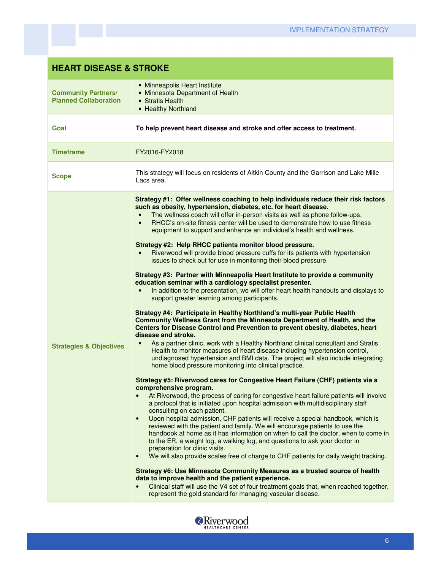| <b>HEART DISEASE &amp; STROKE</b>                          |                                                                                                                                                                                                                                                                                                                                                                                                                                                                                                                                                                                                                                                                                                                                                                                                                                                                                                                                                                                                                                                                                                                                                                                                                                                                                                                                                                                                                                                                                                                                                                                                                                                                                                                                                                                                                                                                                                                                                                                                                                                                                                                                                                                                                                                                                                                                                                                                                                                                                                                                                                                                                                                                  |
|------------------------------------------------------------|------------------------------------------------------------------------------------------------------------------------------------------------------------------------------------------------------------------------------------------------------------------------------------------------------------------------------------------------------------------------------------------------------------------------------------------------------------------------------------------------------------------------------------------------------------------------------------------------------------------------------------------------------------------------------------------------------------------------------------------------------------------------------------------------------------------------------------------------------------------------------------------------------------------------------------------------------------------------------------------------------------------------------------------------------------------------------------------------------------------------------------------------------------------------------------------------------------------------------------------------------------------------------------------------------------------------------------------------------------------------------------------------------------------------------------------------------------------------------------------------------------------------------------------------------------------------------------------------------------------------------------------------------------------------------------------------------------------------------------------------------------------------------------------------------------------------------------------------------------------------------------------------------------------------------------------------------------------------------------------------------------------------------------------------------------------------------------------------------------------------------------------------------------------------------------------------------------------------------------------------------------------------------------------------------------------------------------------------------------------------------------------------------------------------------------------------------------------------------------------------------------------------------------------------------------------------------------------------------------------------------------------------------------------|
| <b>Community Partners/</b><br><b>Planned Collaboration</b> | • Minneapolis Heart Institute<br>• Minnesota Department of Health<br>• Stratis Health<br>• Healthy Northland                                                                                                                                                                                                                                                                                                                                                                                                                                                                                                                                                                                                                                                                                                                                                                                                                                                                                                                                                                                                                                                                                                                                                                                                                                                                                                                                                                                                                                                                                                                                                                                                                                                                                                                                                                                                                                                                                                                                                                                                                                                                                                                                                                                                                                                                                                                                                                                                                                                                                                                                                     |
| Goal                                                       | To help prevent heart disease and stroke and offer access to treatment.                                                                                                                                                                                                                                                                                                                                                                                                                                                                                                                                                                                                                                                                                                                                                                                                                                                                                                                                                                                                                                                                                                                                                                                                                                                                                                                                                                                                                                                                                                                                                                                                                                                                                                                                                                                                                                                                                                                                                                                                                                                                                                                                                                                                                                                                                                                                                                                                                                                                                                                                                                                          |
| <b>Timeframe</b>                                           | FY2016-FY2018                                                                                                                                                                                                                                                                                                                                                                                                                                                                                                                                                                                                                                                                                                                                                                                                                                                                                                                                                                                                                                                                                                                                                                                                                                                                                                                                                                                                                                                                                                                                                                                                                                                                                                                                                                                                                                                                                                                                                                                                                                                                                                                                                                                                                                                                                                                                                                                                                                                                                                                                                                                                                                                    |
| <b>Scope</b>                                               | This strategy will focus on residents of Aitkin County and the Garrison and Lake Mille<br>Lacs area.                                                                                                                                                                                                                                                                                                                                                                                                                                                                                                                                                                                                                                                                                                                                                                                                                                                                                                                                                                                                                                                                                                                                                                                                                                                                                                                                                                                                                                                                                                                                                                                                                                                                                                                                                                                                                                                                                                                                                                                                                                                                                                                                                                                                                                                                                                                                                                                                                                                                                                                                                             |
| <b>Strategies &amp; Objectives</b>                         | Strategy #1: Offer wellness coaching to help individuals reduce their risk factors<br>such as obesity, hypertension, diabetes, etc. for heart disease.<br>The wellness coach will offer in-person visits as well as phone follow-ups.<br>$\bullet$<br>RHCC's on-site fitness center will be used to demonstrate how to use fitness<br>$\bullet$<br>equipment to support and enhance an individual's health and wellness.<br>Strategy #2: Help RHCC patients monitor blood pressure.<br>Riverwood will provide blood pressure cuffs for its patients with hypertension<br>issues to check out for use in monitoring their blood pressure.<br>Strategy #3: Partner with Minneapolis Heart Institute to provide a community<br>education seminar with a cardiology specialist presenter.<br>In addition to the presentation, we will offer heart health handouts and displays to<br>$\bullet$<br>support greater learning among participants.<br>Strategy #4: Participate in Healthy Northland's multi-year Public Health<br>Community Wellness Grant from the Minnesota Department of Health, and the<br>Centers for Disease Control and Prevention to prevent obesity, diabetes, heart<br>disease and stroke.<br>As a partner clinic, work with a Healthy Northland clinical consultant and Stratis<br>$\bullet$<br>Health to monitor measures of heart disease including hypertension control,<br>undiagnosed hypertension and BMI data. The project will also include integrating<br>home blood pressure monitoring into clinical practice.<br>Strategy #5: Riverwood cares for Congestive Heart Failure (CHF) patients via a<br>comprehensive program.<br>At Riverwood, the process of caring for congestive heart failure patients will involve<br>a protocol that is initiated upon hospital admission with multidisciplinary staff<br>consulting on each patient.<br>Upon hospital admission, CHF patients will receive a special handbook, which is<br>$\bullet$<br>reviewed with the patient and family. We will encourage patients to use the<br>handbook at home as it has information on when to call the doctor, when to come in<br>to the ER, a weight log, a walking log, and questions to ask your doctor in<br>preparation for clinic visits.<br>We will also provide scales free of charge to CHF patients for daily weight tracking.<br>$\bullet$<br>Strategy #6: Use Minnesota Community Measures as a trusted source of health<br>data to improve health and the patient experience.<br>Clinical staff will use the V4 set of four treatment goals that, when reached together,<br>represent the gold standard for managing vascular disease. |

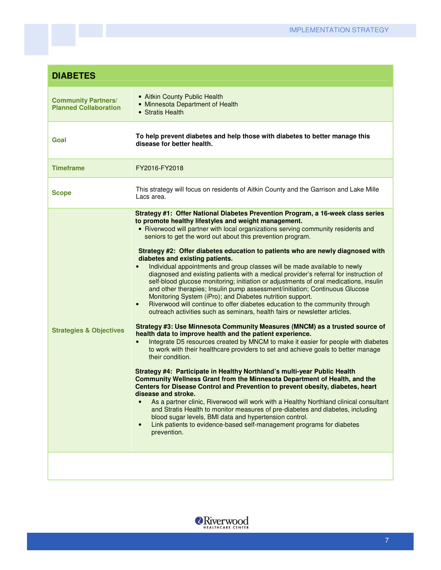| <b>DIABETES</b>                                            |                                                                                                                                                                                                                                                                                                                                                                                                                                                                                                                                                                                                                                                                                                                                                                                                                                                                                                                                                                                                                                                                                                                                                                                                                                                                                                                                                                                                                                                                                                                                                                                                                                                                                                                                                                                                                                                                                                                                                                          |
|------------------------------------------------------------|--------------------------------------------------------------------------------------------------------------------------------------------------------------------------------------------------------------------------------------------------------------------------------------------------------------------------------------------------------------------------------------------------------------------------------------------------------------------------------------------------------------------------------------------------------------------------------------------------------------------------------------------------------------------------------------------------------------------------------------------------------------------------------------------------------------------------------------------------------------------------------------------------------------------------------------------------------------------------------------------------------------------------------------------------------------------------------------------------------------------------------------------------------------------------------------------------------------------------------------------------------------------------------------------------------------------------------------------------------------------------------------------------------------------------------------------------------------------------------------------------------------------------------------------------------------------------------------------------------------------------------------------------------------------------------------------------------------------------------------------------------------------------------------------------------------------------------------------------------------------------------------------------------------------------------------------------------------------------|
| <b>Community Partners/</b><br><b>Planned Collaboration</b> | • Aitkin County Public Health<br>• Minnesota Department of Health<br>• Stratis Health                                                                                                                                                                                                                                                                                                                                                                                                                                                                                                                                                                                                                                                                                                                                                                                                                                                                                                                                                                                                                                                                                                                                                                                                                                                                                                                                                                                                                                                                                                                                                                                                                                                                                                                                                                                                                                                                                    |
| Goal                                                       | To help prevent diabetes and help those with diabetes to better manage this<br>disease for better health.                                                                                                                                                                                                                                                                                                                                                                                                                                                                                                                                                                                                                                                                                                                                                                                                                                                                                                                                                                                                                                                                                                                                                                                                                                                                                                                                                                                                                                                                                                                                                                                                                                                                                                                                                                                                                                                                |
| <b>Timeframe</b>                                           | FY2016-FY2018                                                                                                                                                                                                                                                                                                                                                                                                                                                                                                                                                                                                                                                                                                                                                                                                                                                                                                                                                                                                                                                                                                                                                                                                                                                                                                                                                                                                                                                                                                                                                                                                                                                                                                                                                                                                                                                                                                                                                            |
| <b>Scope</b>                                               | This strategy will focus on residents of Aitkin County and the Garrison and Lake Mille<br>Lacs area.                                                                                                                                                                                                                                                                                                                                                                                                                                                                                                                                                                                                                                                                                                                                                                                                                                                                                                                                                                                                                                                                                                                                                                                                                                                                                                                                                                                                                                                                                                                                                                                                                                                                                                                                                                                                                                                                     |
| <b>Strategies &amp; Objectives</b>                         | Strategy #1: Offer National Diabetes Prevention Program, a 16-week class series<br>to promote healthy lifestyles and weight management.<br>• Riverwood will partner with local organizations serving community residents and<br>seniors to get the word out about this prevention program.<br>Strategy #2: Offer diabetes education to patients who are newly diagnosed with<br>diabetes and existing patients.<br>Individual appointments and group classes will be made available to newly<br>$\bullet$<br>diagnosed and existing patients with a medical provider's referral for instruction of<br>self-blood glucose monitoring; initiation or adjustments of oral medications, insulin<br>and other therapies; Insulin pump assessment/initiation; Continuous Glucose<br>Monitoring System (iPro); and Diabetes nutrition support.<br>Riverwood will continue to offer diabetes education to the community through<br>$\bullet$<br>outreach activities such as seminars, health fairs or newsletter articles.<br>Strategy #3: Use Minnesota Community Measures (MNCM) as a trusted source of<br>health data to improve health and the patient experience.<br>Integrate D5 resources created by MNCM to make it easier for people with diabetes<br>to work with their healthcare providers to set and achieve goals to better manage<br>their condition.<br>Strategy #4: Participate in Healthy Northland's multi-year Public Health<br>Community Wellness Grant from the Minnesota Department of Health, and the<br>Centers for Disease Control and Prevention to prevent obesity, diabetes, heart<br>disease and stroke.<br>As a partner clinic, Riverwood will work with a Healthy Northland clinical consultant<br>and Stratis Health to monitor measures of pre-diabetes and diabetes, including<br>blood sugar levels, BMI data and hypertension control.<br>Link patients to evidence-based self-management programs for diabetes<br>$\bullet$<br>prevention. |
|                                                            |                                                                                                                                                                                                                                                                                                                                                                                                                                                                                                                                                                                                                                                                                                                                                                                                                                                                                                                                                                                                                                                                                                                                                                                                                                                                                                                                                                                                                                                                                                                                                                                                                                                                                                                                                                                                                                                                                                                                                                          |

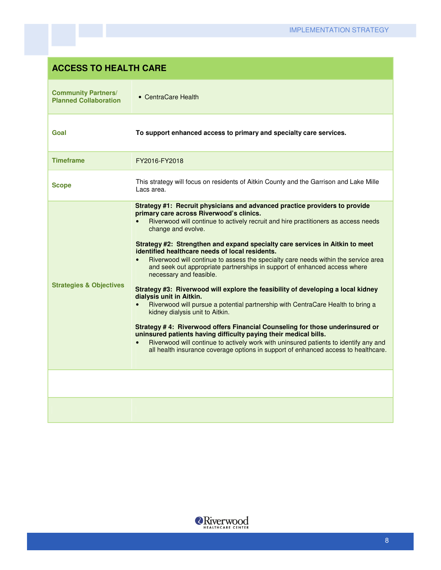### **ACCESS TO HEALTH CARE**

| <b>Community Partners/</b><br><b>Planned Collaboration</b> | • CentraCare Health                                                                                                                                                                                                                                                                                                                                                                                                                                                                                                                                                                                                                                                                                                                                                                                                                                                                                                                                                                                                                                                                                                                         |
|------------------------------------------------------------|---------------------------------------------------------------------------------------------------------------------------------------------------------------------------------------------------------------------------------------------------------------------------------------------------------------------------------------------------------------------------------------------------------------------------------------------------------------------------------------------------------------------------------------------------------------------------------------------------------------------------------------------------------------------------------------------------------------------------------------------------------------------------------------------------------------------------------------------------------------------------------------------------------------------------------------------------------------------------------------------------------------------------------------------------------------------------------------------------------------------------------------------|
| Goal                                                       | To support enhanced access to primary and specialty care services.                                                                                                                                                                                                                                                                                                                                                                                                                                                                                                                                                                                                                                                                                                                                                                                                                                                                                                                                                                                                                                                                          |
| <b>Timeframe</b>                                           | FY2016-FY2018                                                                                                                                                                                                                                                                                                                                                                                                                                                                                                                                                                                                                                                                                                                                                                                                                                                                                                                                                                                                                                                                                                                               |
| <b>Scope</b>                                               | This strategy will focus on residents of Aitkin County and the Garrison and Lake Mille<br>Lacs area.                                                                                                                                                                                                                                                                                                                                                                                                                                                                                                                                                                                                                                                                                                                                                                                                                                                                                                                                                                                                                                        |
| <b>Strategies &amp; Objectives</b>                         | Strategy #1: Recruit physicians and advanced practice providers to provide<br>primary care across Riverwood's clinics.<br>Riverwood will continue to actively recruit and hire practitioners as access needs<br>change and evolve.<br>Strategy #2: Strengthen and expand specialty care services in Aitkin to meet<br>identified healthcare needs of local residents.<br>Riverwood will continue to assess the specialty care needs within the service area<br>and seek out appropriate partnerships in support of enhanced access where<br>necessary and feasible.<br>Strategy #3: Riverwood will explore the feasibility of developing a local kidney<br>dialysis unit in Aitkin.<br>Riverwood will pursue a potential partnership with CentraCare Health to bring a<br>kidney dialysis unit to Aitkin.<br>Strategy #4: Riverwood offers Financial Counseling for those underinsured or<br>uninsured patients having difficulty paying their medical bills.<br>Riverwood will continue to actively work with uninsured patients to identify any and<br>all health insurance coverage options in support of enhanced access to healthcare. |
|                                                            |                                                                                                                                                                                                                                                                                                                                                                                                                                                                                                                                                                                                                                                                                                                                                                                                                                                                                                                                                                                                                                                                                                                                             |
|                                                            |                                                                                                                                                                                                                                                                                                                                                                                                                                                                                                                                                                                                                                                                                                                                                                                                                                                                                                                                                                                                                                                                                                                                             |

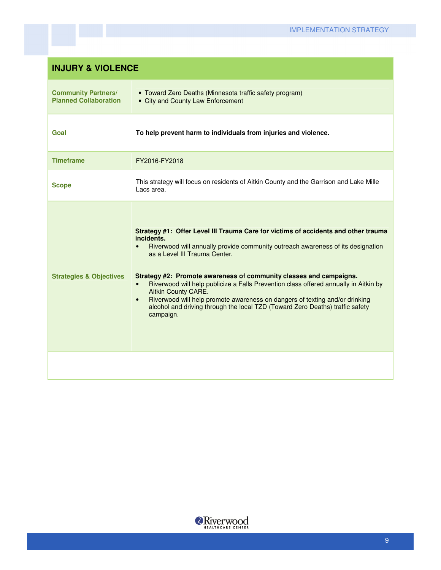| <b>INJURY &amp; VIOLENCE</b>                               |                                                                                                                                                                                                                                                                                                                                                                                                                                                                                                                                                                                                            |
|------------------------------------------------------------|------------------------------------------------------------------------------------------------------------------------------------------------------------------------------------------------------------------------------------------------------------------------------------------------------------------------------------------------------------------------------------------------------------------------------------------------------------------------------------------------------------------------------------------------------------------------------------------------------------|
| <b>Community Partners/</b><br><b>Planned Collaboration</b> | • Toward Zero Deaths (Minnesota traffic safety program)<br>• City and County Law Enforcement                                                                                                                                                                                                                                                                                                                                                                                                                                                                                                               |
| Goal                                                       | To help prevent harm to individuals from injuries and violence.                                                                                                                                                                                                                                                                                                                                                                                                                                                                                                                                            |
| <b>Timeframe</b>                                           | FY2016-FY2018                                                                                                                                                                                                                                                                                                                                                                                                                                                                                                                                                                                              |
| <b>Scope</b>                                               | This strategy will focus on residents of Aitkin County and the Garrison and Lake Mille<br>Lacs area.                                                                                                                                                                                                                                                                                                                                                                                                                                                                                                       |
| <b>Strategies &amp; Objectives</b>                         | Strategy #1: Offer Level III Trauma Care for victims of accidents and other trauma<br>incidents.<br>Riverwood will annually provide community outreach awareness of its designation<br>as a Level III Trauma Center.<br>Strategy #2: Promote awareness of community classes and campaigns.<br>Riverwood will help publicize a Falls Prevention class offered annually in Aitkin by<br><b>Aitkin County CARE.</b><br>Riverwood will help promote awareness on dangers of texting and/or drinking<br>$\bullet$<br>alcohol and driving through the local TZD (Toward Zero Deaths) traffic safety<br>campaign. |
|                                                            |                                                                                                                                                                                                                                                                                                                                                                                                                                                                                                                                                                                                            |